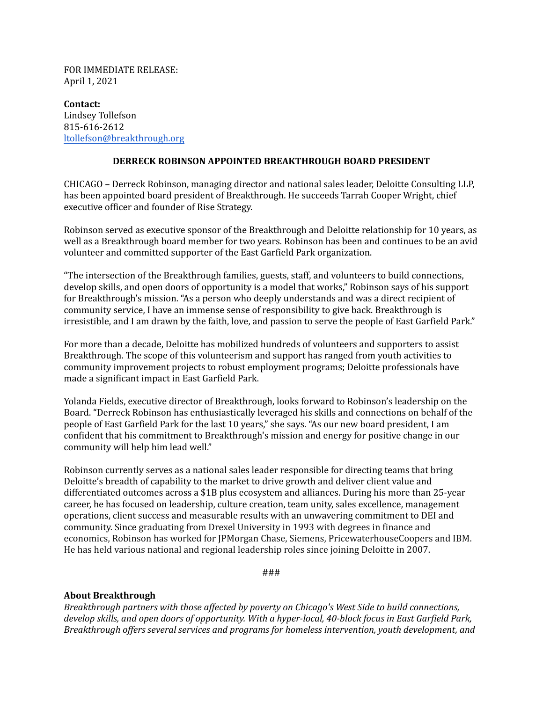FOR IMMEDIATE RELEASE: April 1, 2021

**Contact:** Lindsey Tollefson 815-616-2612 [ltollefson@breakthrough.org](mailto:ltollefson@breakthrough.org)

## **DERRECK ROBINSON APPOINTED BREAKTHROUGH BOARD PRESIDENT**

CHICAGO – Derreck Robinson, managing director and national sales leader, Deloitte Consulting LLP, has been appointed board president of Breakthrough. He succeeds Tarrah Cooper Wright, chief executive officer and founder of Rise Strategy.

Robinson served as executive sponsor of the Breakthrough and Deloitte relationship for 10 years, as well as a Breakthrough board member for two years. Robinson has been and continues to be an avid volunteer and committed supporter of the East Garfield Park organization.

"The intersection of the Breakthrough families, guests, staff, and volunteers to build connections, develop skills, and open doors of opportunity is a model that works," Robinson says of his support for Breakthrough's mission. "As a person who deeply understands and was a direct recipient of community service, I have an immense sense of responsibility to give back. Breakthrough is irresistible, and I am drawn by the faith, love, and passion to serve the people of East Garfield Park."

For more than a decade, Deloitte has mobilized hundreds of volunteers and supporters to assist Breakthrough. The scope of this volunteerism and support has ranged from youth activities to community improvement projects to robust employment programs; Deloitte professionals have made a significant impact in East Garfield Park.

Yolanda Fields, executive director of Breakthrough, looks forward to Robinson's leadership on the Board. "Derreck Robinson has enthusiastically leveraged his skills and connections on behalf of the people of East Garfield Park for the last 10 years," she says. "As our new board president, I am confident that his commitment to Breakthrough's mission and energy for positive change in our community will help him lead well."

Robinson currently serves as a national sales leader responsible for directing teams that bring Deloitte's breadth of capability to the market to drive growth and deliver client value and differentiated outcomes across a \$1B plus ecosystem and alliances. During his more than 25-year career, he has focused on leadership, culture creation, team unity, sales excellence, management operations, client success and measurable results with an unwavering commitment to DEI and community. Since graduating from Drexel University in 1993 with degrees in finance and economics, Robinson has worked for JPMorgan Chase, Siemens, PricewaterhouseCoopers and IBM. He has held various national and regional leadership roles since joining Deloitte in 2007.

###

## **About Breakthrough**

*Breakthrough partners with those af ected by poverty on Chicago's West Side to build connections, develop skills, and open doors of opportunity. With a hyper-local, 40-block focus in East Garfield Park, Breakthrough of ers several services and programs for homeless intervention, youth development, and*